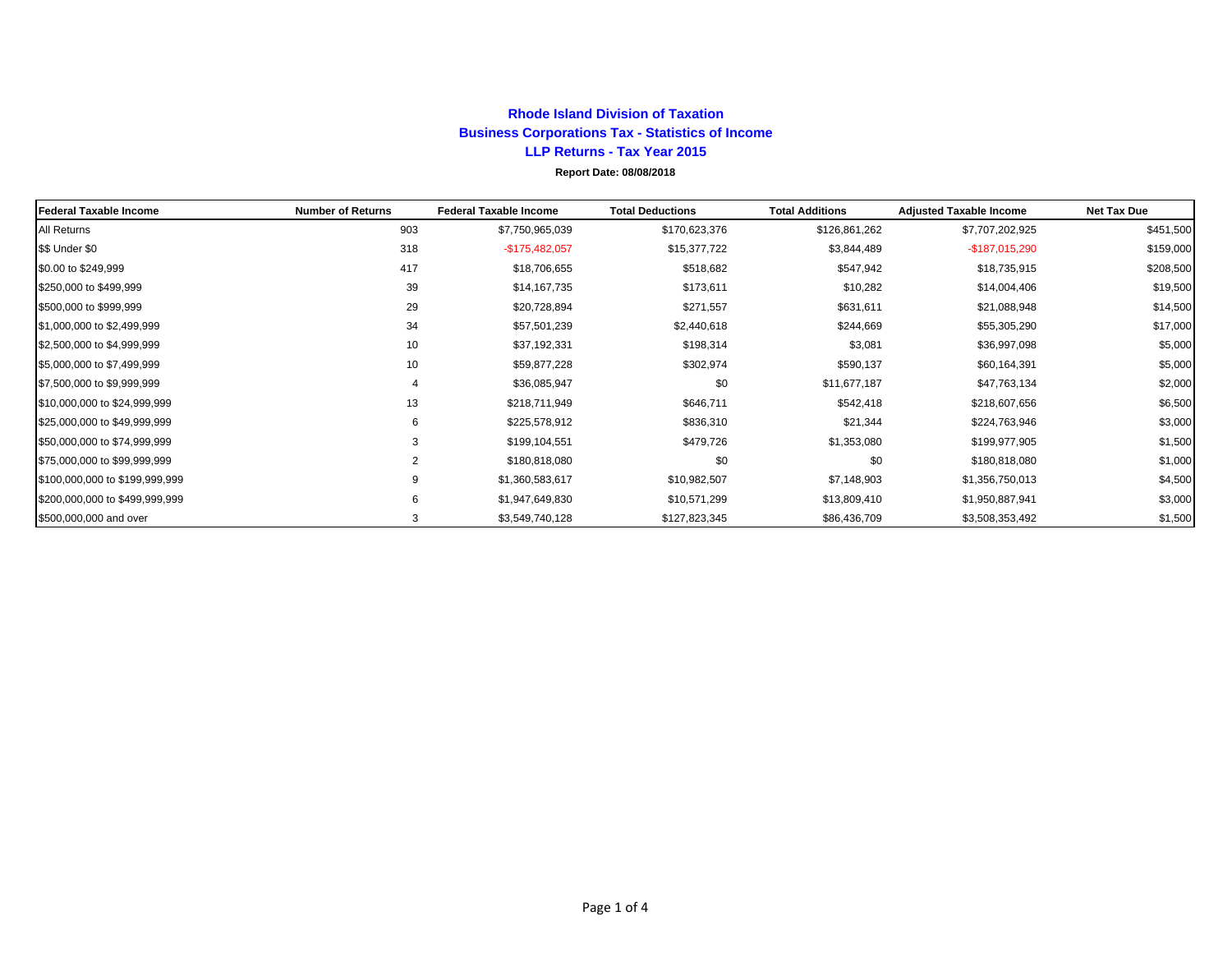## **Rhode Island Division of Taxation Business Corporations Tax - Statistics of Income LLP Returns - Tax Year 2015 Report Date: 08/08/2018**

| <b>Federal Taxable Income</b>  | <b>Number of Returns</b> | <b>Federal Taxable Income</b> | <b>Total Deductions</b> | <b>Total Additions</b> | <b>Adjusted Taxable Income</b> | <b>Net Tax Due</b> |
|--------------------------------|--------------------------|-------------------------------|-------------------------|------------------------|--------------------------------|--------------------|
| All Returns                    | 903                      | \$7,750,965,039               | \$170,623,376           | \$126,861,262          | \$7,707,202,925                | \$451,500          |
| \$\$ Under \$0                 | 318                      | $-$175,482,057$               | \$15,377,722            | \$3,844,489            | $-$187,015,290$                | \$159,000          |
| \$0.00 to \$249,999            | 417                      | \$18,706,655                  | \$518,682               | \$547,942              | \$18,735,915                   | \$208,500          |
| \$250,000 to \$499,999         | 39                       | \$14,167,735                  | \$173,611               | \$10,282               | \$14,004,406                   | \$19,500           |
| \$500,000 to \$999,999         | 29                       | \$20,728,894                  | \$271,557               | \$631,611              | \$21,088,948                   | \$14,500           |
| \$1,000,000 to \$2,499,999     | 34                       | \$57,501,239                  | \$2,440,618             | \$244,669              | \$55,305,290                   | \$17,000           |
| \$2,500,000 to \$4,999,999     | 10                       | \$37,192,331                  | \$198,314               | \$3,081                | \$36,997,098                   | \$5,000            |
| \$5,000,000 to \$7,499,999     | 10                       | \$59,877,228                  | \$302,974               | \$590,137              | \$60,164,391                   | \$5,000            |
| \$7,500,000 to \$9,999,999     | 4                        | \$36,085,947                  | \$0                     | \$11,677,187           | \$47,763,134                   | \$2,000            |
| \$10,000,000 to \$24,999,999   | 13                       | \$218,711,949                 | \$646,711               | \$542,418              | \$218,607,656                  | \$6,500            |
| \$25,000,000 to \$49,999,999   | 6                        | \$225,578,912                 | \$836,310               | \$21,344               | \$224,763,946                  | \$3,000            |
| \$50,000,000 to \$74,999,999   | 3                        | \$199,104,551                 | \$479,726               | \$1,353,080            | \$199,977,905                  | \$1,500            |
| \$75,000,000 to \$99,999,999   | 2                        | \$180,818,080                 | \$0                     | \$0                    | \$180,818,080                  | \$1,000            |
| \$100,000,000 to \$199,999,999 | 9                        | \$1,360,583,617               | \$10,982,507            | \$7,148,903            | \$1,356,750,013                | \$4,500            |
| \$200,000,000 to \$499,999,999 | 6                        | \$1,947,649,830               | \$10,571,299            | \$13,809,410           | \$1,950,887,941                | \$3,000            |
| \$500,000,000 and over         | 3                        | \$3,549,740,128               | \$127,823,345           | \$86,436,709           | \$3,508,353,492                | \$1,500            |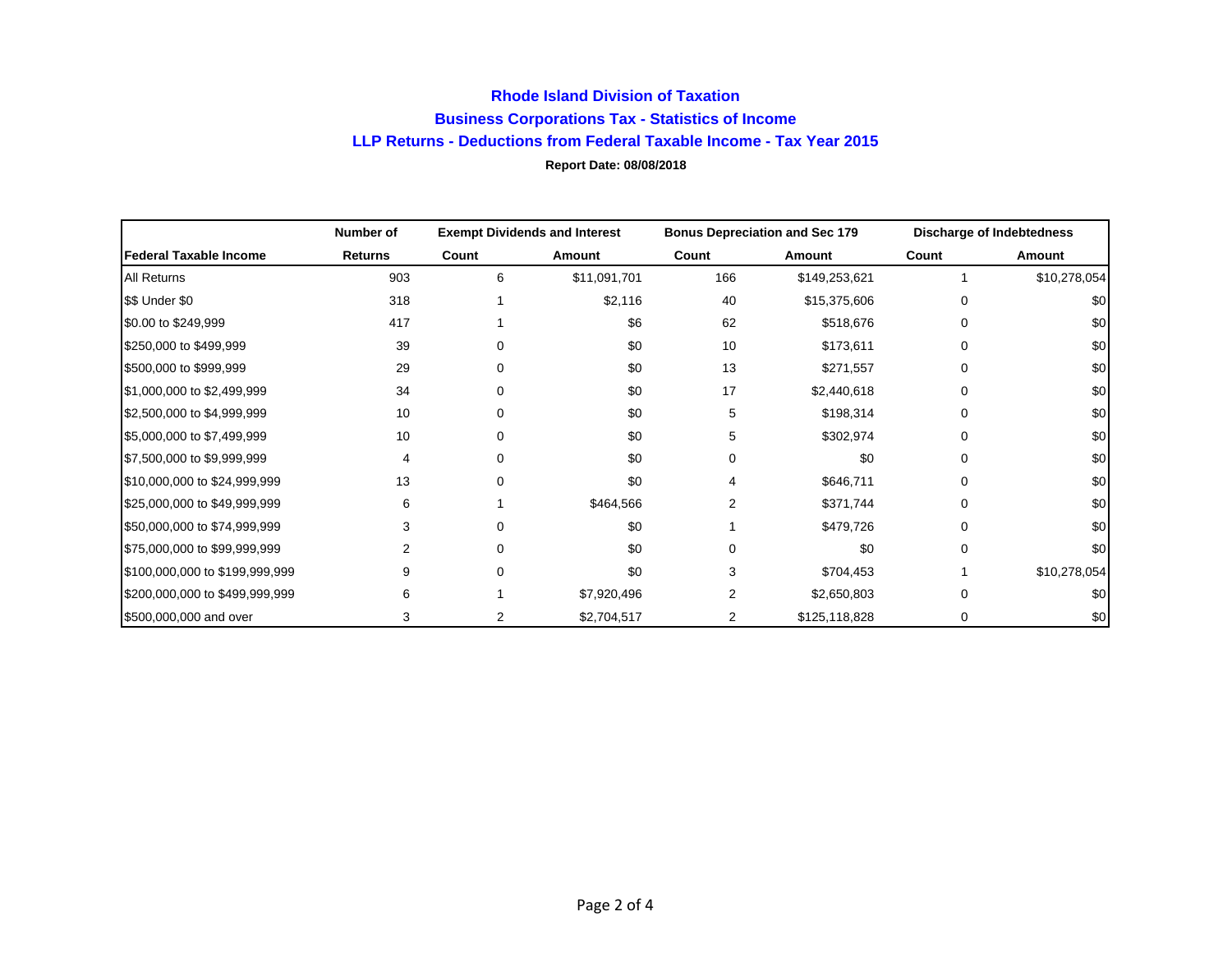## **Rhode Island Division of Taxation Business Corporations Tax - Statistics of Income LLP Returns - Deductions from Federal Taxable Income - Tax Year 2015 Report Date: 08/08/2018**

|                                | Number of      | <b>Exempt Dividends and Interest</b> |              | <b>Bonus Depreciation and Sec 179</b> |               | <b>Discharge of Indebtedness</b> |              |
|--------------------------------|----------------|--------------------------------------|--------------|---------------------------------------|---------------|----------------------------------|--------------|
| Federal Taxable Income         | <b>Returns</b> | Count                                | Amount       | Count                                 | Amount        | Count                            | Amount       |
| All Returns                    | 903            | 6                                    | \$11,091,701 | 166                                   | \$149,253,621 |                                  | \$10,278,054 |
| \$\$ Under \$0                 | 318            |                                      | \$2,116      | 40                                    | \$15,375,606  | O                                | \$0          |
| \$0.00 to \$249,999            | 417            |                                      | \$6          | 62                                    | \$518,676     | ŋ                                | \$0          |
| \$250,000 to \$499,999         | 39             | 0                                    | \$0          | 10                                    | \$173,611     | O                                | \$0          |
| \$500,000 to \$999,999         | 29             | 0                                    | \$0          | 13                                    | \$271,557     | O                                | \$0          |
| \$1,000,000 to \$2,499,999     | 34             | 0                                    | \$0          | 17                                    | \$2,440,618   | $\Omega$                         | \$0          |
| \$2,500,000 to \$4,999,999     | 10             | 0                                    | \$0          | 5                                     | \$198,314     | $\Omega$                         | \$0          |
| \$5,000,000 to \$7,499,999     | 10             | 0                                    | \$0          | 5                                     | \$302,974     |                                  | \$0          |
| \$7,500,000 to \$9,999,999     | 4              | 0                                    | \$0          | 0                                     | \$0           | O                                | \$0          |
| \$10,000,000 to \$24,999,999   | 13             | 0                                    | \$0          | 4                                     | \$646,711     | ŋ                                | \$0          |
| \$25,000,000 to \$49,999,999   | 6              |                                      | \$464,566    | 2                                     | \$371,744     | ŋ                                | \$0          |
| \$50,000,000 to \$74,999,999   |                | 0                                    | \$0          |                                       | \$479,726     |                                  | \$0          |
| \$75,000,000 to \$99,999,999   |                | 0                                    | \$0          | O                                     | \$0           |                                  | \$0          |
| \$100,000,000 to \$199,999,999 | 9              | 0                                    | \$0          | 3                                     | \$704,453     |                                  | \$10,278,054 |
| \$200,000,000 to \$499,999,999 | 6              |                                      | \$7,920,496  | 2                                     | \$2,650,803   |                                  | \$0          |
| \$500,000,000 and over         | 3              | 2                                    | \$2,704,517  | 2                                     | \$125,118,828 | 0                                | \$0          |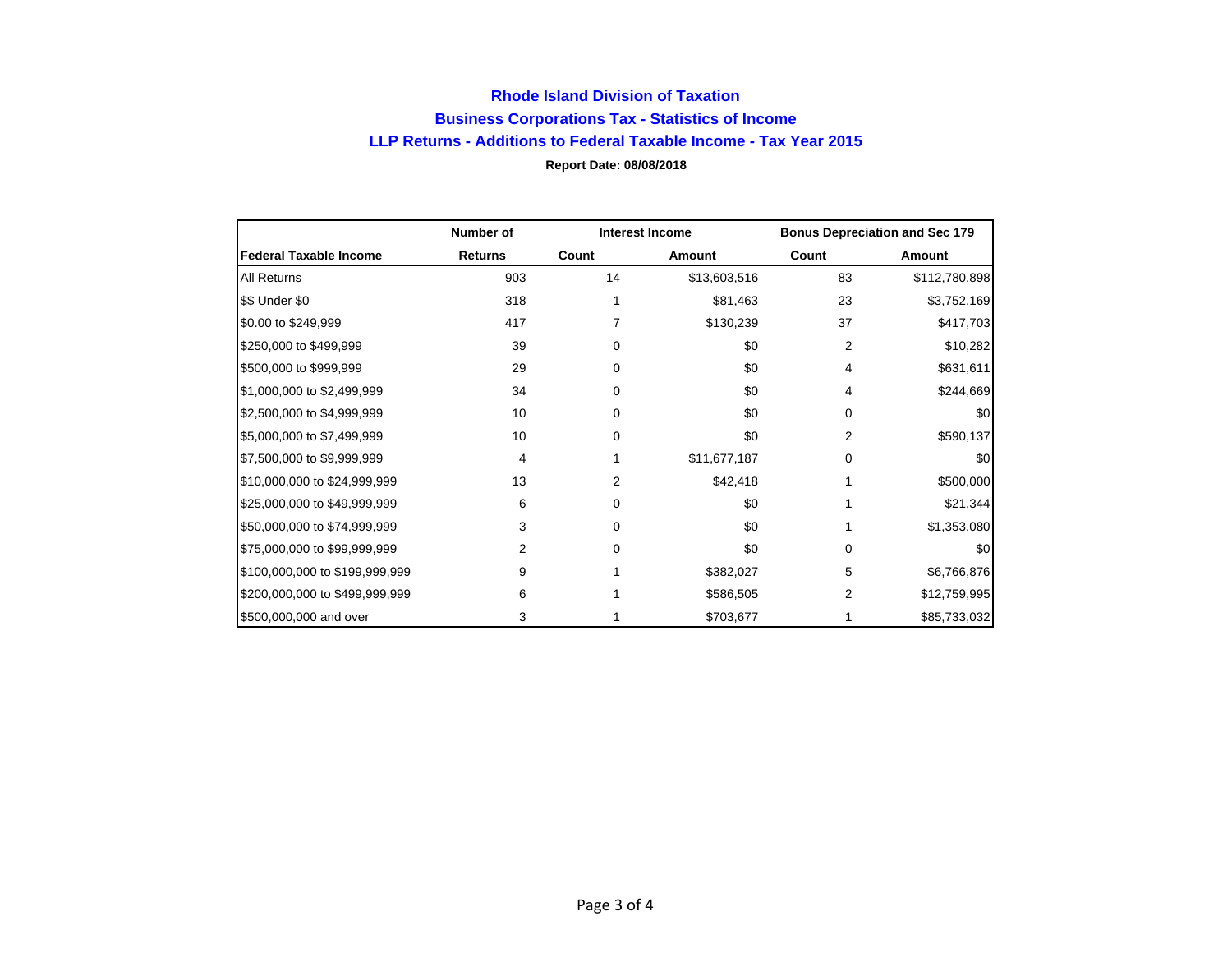## **Rhode Island Division of Taxation Business Corporations Tax - Statistics of Income LLP Returns - Additions to Federal Taxable Income - Tax Year 2015 Report Date: 08/08/2018**

|                                | Number of      | <b>Interest Income</b> |              | <b>Bonus Depreciation and Sec 179</b> |               |
|--------------------------------|----------------|------------------------|--------------|---------------------------------------|---------------|
| <b>Federal Taxable Income</b>  | <b>Returns</b> | Count                  | Amount       | Count                                 | Amount        |
| <b>All Returns</b>             | 903            | 14                     | \$13,603,516 | 83                                    | \$112,780,898 |
| \$\$ Under \$0                 | 318            |                        | \$81,463     | 23                                    | \$3,752,169   |
| \$0.00 to \$249,999            | 417            | 7                      | \$130,239    | 37                                    | \$417,703     |
| \$250,000 to \$499,999         | 39             | 0                      | \$0          | 2                                     | \$10,282      |
| \$500,000 to \$999,999         | 29             | 0                      | \$0          | 4                                     | \$631,611     |
| \$1,000,000 to \$2,499,999     | 34             | 0                      | \$0          | 4                                     | \$244,669     |
| \$2,500,000 to \$4,999,999     | 10             | 0                      | \$0          | 0                                     | \$0           |
| \$5,000,000 to \$7,499,999     | 10             | 0                      | \$0          | 2                                     | \$590,137     |
| \$7,500,000 to \$9,999,999     | 4              |                        | \$11,677,187 | 0                                     | \$0           |
| \$10,000,000 to \$24,999,999   | 13             | 2                      | \$42,418     |                                       | \$500,000     |
| \$25,000,000 to \$49,999,999   | 6              | 0                      | \$0          |                                       | \$21,344      |
| \$50,000,000 to \$74,999,999   | 3              | 0                      | \$0          |                                       | \$1,353,080   |
| \$75,000,000 to \$99,999,999   | 2              | 0                      | \$0          | 0                                     | \$0           |
| \$100,000,000 to \$199,999,999 | 9              |                        | \$382,027    | 5                                     | \$6,766,876   |
| \$200,000,000 to \$499,999,999 | 6              |                        | \$586,505    | 2                                     | \$12,759,995  |
| \$500,000,000 and over         | 3              |                        | \$703,677    |                                       | \$85,733,032  |